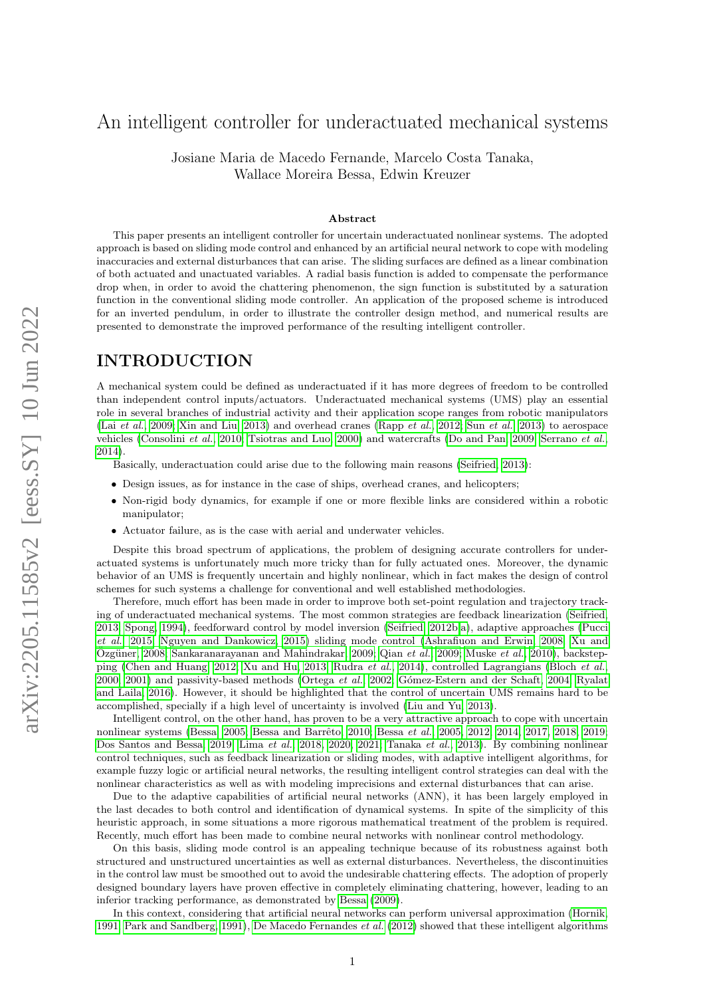# An intelligent controller for underactuated mechanical systems

Josiane Maria de Macedo Fernande, Marcelo Costa Tanaka, Wallace Moreira Bessa, Edwin Kreuzer

#### Abstract

This paper presents an intelligent controller for uncertain underactuated nonlinear systems. The adopted approach is based on sliding mode control and enhanced by an artificial neural network to cope with modeling inaccuracies and external disturbances that can arise. The sliding surfaces are defined as a linear combination of both actuated and unactuated variables. A radial basis function is added to compensate the performance drop when, in order to avoid the chattering phenomenon, the sign function is substituted by a saturation function in the conventional sliding mode controller. An application of the proposed scheme is introduced for an inverted pendulum, in order to illustrate the controller design method, and numerical results are presented to demonstrate the improved performance of the resulting intelligent controller.

### INTRODUCTION

A mechanical system could be defined as underactuated if it has more degrees of freedom to be controlled than independent control inputs/actuators. Underactuated mechanical systems (UMS) play an essential role in several branches of industrial activity and their application scope ranges from robotic manipulators (Lai [et al.](#page-7-0), [2009;](#page-7-0) [Xin and Liu, 2013\)](#page-9-0) and overhead cranes [\(Rapp](#page-8-0) et al., [2012;](#page-8-0) Sun [et al.](#page-8-1), [2013\)](#page-8-1) to aerospace vehicles [\(Consolini](#page-7-1) et al., [2010;](#page-7-1) [Tsiotras and Luo, 2000\)](#page-9-1) and watercrafts [\(Do and Pan, 2009;](#page-7-2) [Serrano](#page-8-2) et al., [2014\)](#page-8-2).

Basically, underactuation could arise due to the following main reasons [\(Seifried, 2013\)](#page-8-3):

- Design issues, as for instance in the case of ships, overhead cranes, and helicopters;
- Non-rigid body dynamics, for example if one or more flexible links are considered within a robotic manipulator;
- Actuator failure, as is the case with aerial and underwater vehicles.

Despite this broad spectrum of applications, the problem of designing accurate controllers for underactuated systems is unfortunately much more tricky than for fully actuated ones. Moreover, the dynamic behavior of an UMS is frequently uncertain and highly nonlinear, which in fact makes the design of control schemes for such systems a challenge for conventional and well established methodologies.

Therefore, much effort has been made in order to improve both set-point regulation and trajectory tracking of underactuated mechanical systems. The most common strategies are feedback linearization [\(Seifried,](#page-8-3) [2013;](#page-8-3) [Spong, 1994\)](#page-8-4), feedforward control by model inversion [\(Seifried, 2012b,](#page-8-5)[a\)](#page-8-6), adaptive approaches [\(Pucci](#page-8-7) [et al.](#page-8-7), [2015;](#page-8-7) [Nguyen and Dankowicz, 2015\)](#page-8-8) sliding mode control [\(Ashrafiuon and Erwin, 2008;](#page-5-0) [Xu and](#page-9-2) Özgüner, 2008; [Sankaranarayanan and Mahindrakar, 2009;](#page-8-9) Qian [et al.](#page-8-10), [2009;](#page-8-10) [Muske](#page-8-11) et al., [2010\)](#page-8-11), backstepping [\(Chen and Huang, 2012;](#page-7-3) [Xu and Hu, 2013;](#page-9-3) [Rudra](#page-8-12) et al., [2014\)](#page-8-12), controlled Lagrangians [\(Bloch](#page-6-0) et al., [2000,](#page-6-0) [2001\)](#page-6-1) and passivity-based methods [\(Ortega](#page-8-13) et al., [2002;](#page-8-13) Gómez-Estern and der Schaft, 2004; [Ryalat](#page-8-14) [and Laila, 2016\)](#page-8-14). However, it should be highlighted that the control of uncertain UMS remains hard to be accomplished, specially if a high level of uncertainty is involved [\(Liu and Yu, 2013\)](#page-8-15).

Intelligent control, on the other hand, has proven to be a very attractive approach to cope with uncertain nonlinear systems [\(Bessa, 2005;](#page-6-2) [Bessa](#page-6-4) and Barrêto, 2010; Bessa et al., [2005,](#page-6-4) [2012,](#page-6-5) [2014,](#page-6-6) [2017,](#page-5-1) [2018,](#page-5-2) [2019;](#page-6-7) [Dos Santos and Bessa, 2019;](#page-7-5) [Lima](#page-7-6) et al., [2018,](#page-7-6) [2020,](#page-8-16) [2021;](#page-8-17) [Tanaka](#page-8-18) et al., [2013\)](#page-8-18). By combining nonlinear control techniques, such as feedback linearization or sliding modes, with adaptive intelligent algorithms, for example fuzzy logic or artificial neural networks, the resulting intelligent control strategies can deal with the nonlinear characteristics as well as with modeling imprecisions and external disturbances that can arise.

Due to the adaptive capabilities of artificial neural networks (ANN), it has been largely employed in the last decades to both control and identification of dynamical systems. In spite of the simplicity of this heuristic approach, in some situations a more rigorous mathematical treatment of the problem is required. Recently, much effort has been made to combine neural networks with nonlinear control methodology.

On this basis, sliding mode control is an appealing technique because of its robustness against both structured and unstructured uncertainties as well as external disturbances. Nevertheless, the discontinuities in the control law must be smoothed out to avoid the undesirable chattering effects. The adoption of properly designed boundary layers have proven effective in completely eliminating chattering, however, leading to an inferior tracking performance, as demonstrated by [Bessa](#page-6-8) [\(2009\)](#page-6-8).

In this context, considering that artificial neural networks can perform universal approximation [\(Hornik,](#page-7-7) [1991;](#page-7-7) [Park and Sandberg, 1991\)](#page-8-19), [De Macedo Fernandes](#page-7-8) et al. [\(2012\)](#page-7-8) showed that these intelligent algorithms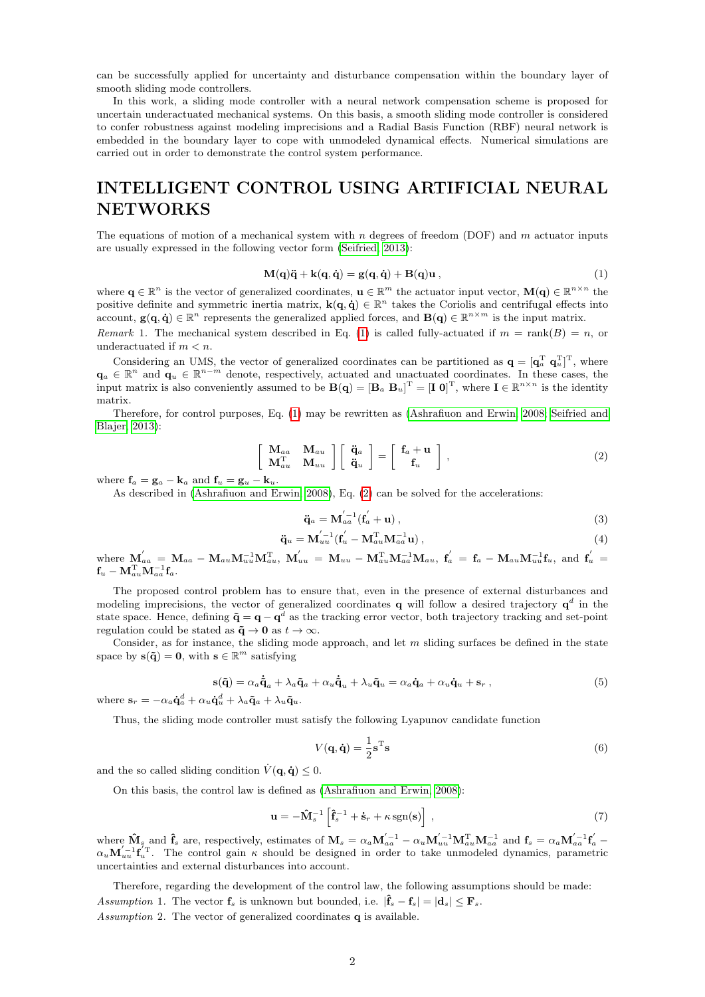can be successfully applied for uncertainty and disturbance compensation within the boundary layer of smooth sliding mode controllers.

In this work, a sliding mode controller with a neural network compensation scheme is proposed for uncertain underactuated mechanical systems. On this basis, a smooth sliding mode controller is considered to confer robustness against modeling imprecisions and a Radial Basis Function (RBF) neural network is embedded in the boundary layer to cope with unmodeled dynamical effects. Numerical simulations are carried out in order to demonstrate the control system performance.

## INTELLIGENT CONTROL USING ARTIFICIAL NEURAL NETWORKS

The equations of motion of a mechanical system with n degrees of freedom (DOF) and m actuator inputs are usually expressed in the following vector form [\(Seifried, 2013\)](#page-8-3):

<span id="page-1-0"></span>
$$
\mathbf{M}(\mathbf{q})\ddot{\mathbf{q}} + \mathbf{k}(\mathbf{q}, \dot{\mathbf{q}}) = \mathbf{g}(\mathbf{q}, \dot{\mathbf{q}}) + \mathbf{B}(\mathbf{q})\mathbf{u},\tag{1}
$$

where  $\mathbf{q} \in \mathbb{R}^n$  is the vector of generalized coordinates,  $\mathbf{u} \in \mathbb{R}^m$  the actuator input vector,  $\mathbf{M}(\mathbf{q}) \in \mathbb{R}^{n \times n}$  the positive definite and symmetric inertia matrix,  $\mathbf{k}(\mathbf{q}, \dot{\mathbf{q}}) \in \mathbb{R}^n$  takes the Coriolis and centrifugal effects into account,  $g(q, \dot{q}) \in \mathbb{R}^n$  represents the generalized applied forces, and  $B(q) \in \mathbb{R}^{n \times m}$  is the input matrix.

Remark 1. The mechanical system described in Eq. [\(1\)](#page-1-0) is called fully-actuated if  $m = \text{rank}(B) = n$ , or underactuated if  $m < n$ .

Considering an UMS, the vector of generalized coordinates can be partitioned as  $\mathbf{q} = [\mathbf{q}_a^T \ \mathbf{q}_u^T]^T$ , where  $\mathbf{q}_a \in \mathbb{R}^n$  and  $\mathbf{q}_u \in \mathbb{R}^{n-m}$  denote, respectively, actuated and unactuated coordinates. In these cases, the input matrix is also conveniently assumed to be  $B(q) = [B_a \ B_u]^T = [I \ 0]^T$ , where  $I \in \mathbb{R}^{n \times n}$  is the identity matrix.

Therefore, for control purposes, Eq. [\(1\)](#page-1-0) may be rewritten as [\(Ashrafiuon and Erwin, 2008;](#page-5-0) [Seifried and](#page-8-20) [Blajer, 2013\)](#page-8-20):

<span id="page-1-1"></span>
$$
\begin{bmatrix}\n\mathbf{M}_{aa} & \mathbf{M}_{au} \\
\mathbf{M}_{au}^{\mathrm{T}} & \mathbf{M}_{uu}\n\end{bmatrix}\n\begin{bmatrix}\n\ddot{\mathbf{q}}_{a} \\
\ddot{\mathbf{q}}_{u}\n\end{bmatrix} =\n\begin{bmatrix}\n\mathbf{f}_{a} + \mathbf{u} \\
\mathbf{f}_{u}\n\end{bmatrix},
$$
\n(2)

where  $\mathbf{f}_a = \mathbf{g}_a - \mathbf{k}_a$  and  $\mathbf{f}_u = \mathbf{g}_u - \mathbf{k}_u$ .

As described in [\(Ashrafiuon and Erwin, 2008\)](#page-5-0), Eq. [\(2\)](#page-1-1) can be solved for the accelerations:

$$
\ddot{\mathbf{q}}_a = \mathbf{M}_{aa}^{'-1}(\mathbf{f}_a' + \mathbf{u}),\tag{3}
$$

$$
\ddot{\mathbf{q}}_u = \mathbf{M}_{uu}^{'-1} (\mathbf{f}_u' - \mathbf{M}_{au}^{\mathrm{T}} \mathbf{M}_{aa}^{-1} \mathbf{u}), \qquad (4)
$$

where  ${\bf M}_{aa}^{'}\,=\,{\bf M}_{aa}-{\bf M}_{au}{\bf M}_{uu}^{-1}{\bf M}_{au}^{\rm T},\;{\bf M}_{uu}^{'}\,=\,{\bf M}_{uu}-{\bf M}_{au}^{\rm T}{\bf M}_{aa}^{-1}{\bf M}_{au},\;{\bf f}_{a}^{'}\,=\,{\bf f}_{a}-{\bf M}_{au}{\bf M}_{uu}^{-1}{\bf f}_{u},\;{\rm and}\;\;{\bf f}_{u}^{'}\,=\,{\bf f}_{u}$  $\mathbf{f}_u - \mathbf{M}_{au}^\mathrm{T} \mathbf{M}_{aa}^{-1} \mathbf{f}_a.$ 

The proposed control problem has to ensure that, even in the presence of external disturbances and modeling imprecisions, the vector of generalized coordinates **q** will follow a desired trajectory  $q^d$  in the state space. Hence, defining  $\tilde{\mathbf{q}} = \mathbf{q} - \mathbf{q}^d$  as the tracking error vector, both trajectory tracking and set-point regulation could be stated as  $\tilde{\mathbf{q}} \to \mathbf{0}$  as  $t \to \infty$ .

Consider, as for instance, the sliding mode approach, and let  $m$  sliding surfaces be defined in the state space by  $\mathbf{s}(\mathbf{\tilde{q}}) = \mathbf{0}$ , with  $\mathbf{s} \in \mathbb{R}^m$  satisfying

$$
\mathbf{s}(\tilde{\mathbf{q}}) = \alpha_a \dot{\tilde{\mathbf{q}}}_a + \lambda_a \tilde{\mathbf{q}}_a + \alpha_u \dot{\tilde{\mathbf{q}}}_u + \lambda_u \tilde{\mathbf{q}}_u = \alpha_a \dot{\mathbf{q}}_a + \alpha_u \dot{\mathbf{q}}_u + \mathbf{s}_r ,
$$
\n(5)

where  $\mathbf{s}_r = -\alpha_a \dot{\mathbf{q}}_a^d + \alpha_u \dot{\mathbf{q}}_u^d + \lambda_a \tilde{\mathbf{q}}_a + \lambda_u \tilde{\mathbf{q}}_u$ .

Thus, the sliding mode controller must satisfy the following Lyapunov candidate function

$$
V(\mathbf{q}, \dot{\mathbf{q}}) = \frac{1}{2} \mathbf{s}^{\mathrm{T}} \mathbf{s}
$$
 (6)

and the so called sliding condition  $\dot{V}(\mathbf{q}, \dot{\mathbf{q}}) \leq 0$ .

On this basis, the control law is defined as [\(Ashrafiuon and Erwin, 2008\)](#page-5-0):

<span id="page-1-2"></span>
$$
\mathbf{u} = -\mathbf{\hat{M}}_s^{-1} \left[ \mathbf{\hat{f}}_s^{-1} + \dot{\mathbf{s}}_r + \kappa \operatorname{sgn}(\mathbf{s}) \right],\tag{7}
$$

where  $\mathbf{\hat{M}}_{s}$  and  $\mathbf{\hat{f}}_{s}$  are, respectively, estimates of  $\mathbf{M}_{s} = \alpha_{a} \mathbf{M}_{aa}^{'-1} - \alpha_{u} \mathbf{M}_{uu}^{'-1} \mathbf{M}_{au}^{T} \mathbf{M}_{aa}^{-1}$  and  $\mathbf{f}_{s} = \alpha_{a} \mathbf{M}_{aa}^{'-1} \mathbf{f}_{a}^{'}$  $\alpha_u \mathbf{M}_{uu}^{'-1} \mathbf{f}_u^{'T}$ . The control gain  $\kappa$  should be designed in order to take unmodeled dynamics, parametric uncertainties and external disturbances into account.

<span id="page-1-3"></span>Therefore, regarding the development of the control law, the following assumptions should be made: Assumption 1. The vector  $\mathbf{f}_s$  is unknown but bounded, i.e.  $|\mathbf{\hat{f}}_s - \mathbf{f}_s| = |\mathbf{d}_s| \leq \mathbf{F}_s$ .

Assumption 2. The vector of generalized coordinates **q** is available.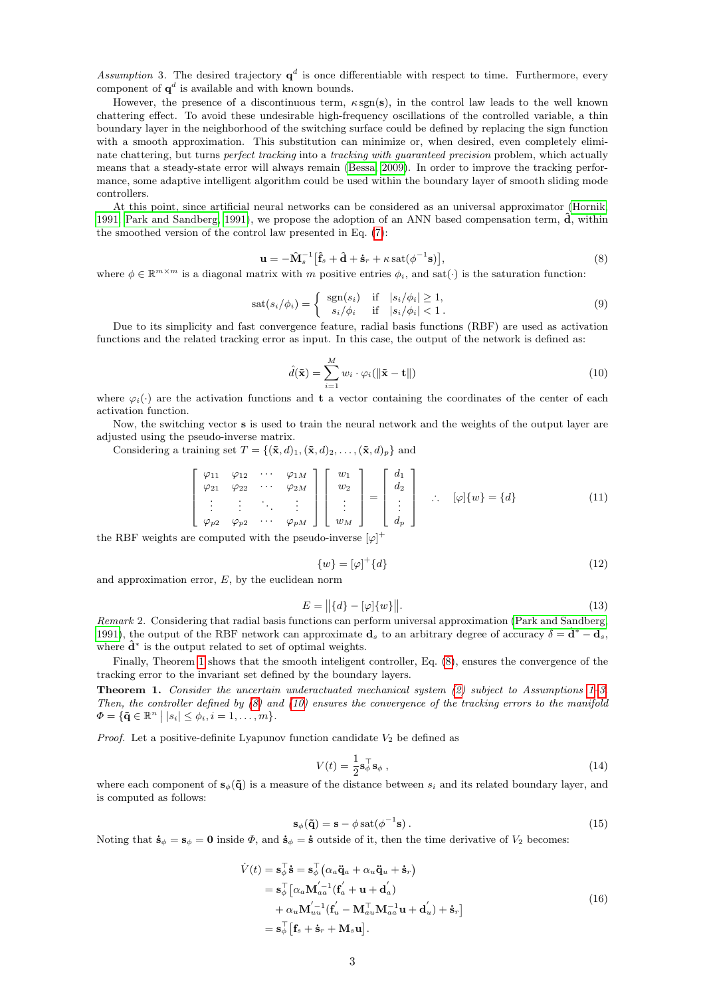<span id="page-2-2"></span>Assumption 3. The desired trajectory  $q^d$  is once differentiable with respect to time. Furthermore, every component of  $q^d$  is available and with known bounds.

However, the presence of a discontinuous term,  $\kappa sgn(s)$ , in the control law leads to the well known chattering effect. To avoid these undesirable high-frequency oscillations of the controlled variable, a thin boundary layer in the neighborhood of the switching surface could be defined by replacing the sign function with a smooth approximation. This substitution can minimize or, when desired, even completely eliminate chattering, but turns perfect tracking into a tracking with guaranteed precision problem, which actually means that a steady-state error will always remain [\(Bessa, 2009\)](#page-6-8). In order to improve the tracking performance, some adaptive intelligent algorithm could be used within the boundary layer of smooth sliding mode controllers.

At this point, since artificial neural networks can be considered as an universal approximator [\(Hornik,](#page-7-7) [1991;](#page-7-7) [Park and Sandberg, 1991\)](#page-8-19), we propose the adoption of an ANN based compensation term,  $\hat{d}$ , within the smoothed version of the control law presented in Eq. [\(7\)](#page-1-2):

<span id="page-2-1"></span>
$$
\mathbf{u} = -\mathbf{\hat{M}}_s^{-1} \left[ \mathbf{\hat{f}}_s + \mathbf{\hat{d}} + \mathbf{\dot{s}}_r + \kappa \operatorname{sat}(\phi^{-1} \mathbf{s}) \right],\tag{8}
$$

where  $\phi \in \mathbb{R}^{m \times m}$  is a diagonal matrix with m positive entries  $\phi_i$ , and sat $(\cdot)$  is the saturation function:

$$
sat(s_i/\phi_i) = \begin{cases} \operatorname{sgn}(s_i) & \text{if } |s_i/\phi_i| \ge 1, \\ s_i/\phi_i & \text{if } |s_i/\phi_i| < 1. \end{cases}
$$
 (9)

Due to its simplicity and fast convergence feature, radial basis functions (RBF) are used as activation functions and the related tracking error as input. In this case, the output of the network is defined as:

<span id="page-2-3"></span>
$$
\hat{d}(\tilde{\mathbf{x}}) = \sum_{i=1}^{M} w_i \cdot \varphi_i(\|\tilde{\mathbf{x}} - \mathbf{t}\|)
$$
\n(10)

where  $\varphi_i(\cdot)$  are the activation functions and t a vector containing the coordinates of the center of each activation function.

Now, the switching vector s is used to train the neural network and the weights of the output layer are adjusted using the pseudo-inverse matrix.

Considering a training set  $T = \{(\tilde{\mathbf{x}}, d)_1, (\tilde{\mathbf{x}}, d)_2, \dots, (\tilde{\mathbf{x}}, d)_p\}$  and

$$
\begin{bmatrix}\n\varphi_{11} & \varphi_{12} & \cdots & \varphi_{1M} \\
\varphi_{21} & \varphi_{22} & \cdots & \varphi_{2M} \\
\vdots & \vdots & \ddots & \vdots \\
\varphi_{p2} & \varphi_{p2} & \cdots & \varphi_{pM}\n\end{bmatrix}\n\begin{bmatrix}\nw_1 \\
w_2 \\
\vdots \\
w_M\n\end{bmatrix} =\n\begin{bmatrix}\nd_1 \\
d_2 \\
\vdots \\
d_p\n\end{bmatrix} \therefore \n\varphi[\{w\} = \{d\} \tag{11}
$$

the RBF weights are computed with the pseudo-inverse  $[\varphi]^{+}$ 

$$
\{w\} = [\varphi]^+\{d\} \tag{12}
$$

and approximation error,  $E$ , by the euclidean norm

$$
E = ||\{d\} - [\varphi]\{w\}||. \tag{13}
$$

Remark 2. Considering that radial basis functions can perform universal approximation [\(Park and Sandberg,](#page-8-19) [1991\)](#page-8-19), the output of the RBF network can approximate  $\mathbf{d}_s$  to an arbitrary degree of accuracy  $\delta = \mathbf{d}^* - \mathbf{d}_s$ , where  $\hat{\mathbf{d}}^*$  is the output related to set of optimal weights.

Finally, Theorem [1](#page-2-0) shows that the smooth inteligent controller, Eq. [\(8\)](#page-2-1), ensures the convergence of the tracking error to the invariant set defined by the boundary layers.

<span id="page-2-0"></span>Theorem 1. Consider the uncertain underactuated mechanical system [\(2\)](#page-1-1) subject to Assumptions [1–](#page-1-3)[3.](#page-2-2) Then, the controller defined by  $(8)$  and  $(10)$  ensures the convergence of the tracking errors to the manifold  $\Phi = {\{\mathbf{\tilde{q}} \in \mathbb{R}^n \mid |s_i| \leq \phi_i, i = 1, \ldots, m\}}.$ 

*Proof.* Let a positive-definite Lyapunov function candidate  $V_2$  be defined as

$$
V(t) = \frac{1}{2} \mathbf{s}_{\phi}^{\top} \mathbf{s}_{\phi} , \qquad (14)
$$

where each component of  $s_{\phi}(\tilde{\mathbf{q}})$  is a measure of the distance between  $s_i$  and its related boundary layer, and is computed as follows:

$$
\mathbf{s}_{\phi}(\tilde{\mathbf{q}}) = \mathbf{s} - \phi \operatorname{sat}(\phi^{-1}\mathbf{s}) \,. \tag{15}
$$

<span id="page-2-4"></span>Noting that  $\dot{\mathbf{s}}_{\phi} = \mathbf{s}_{\phi} = \mathbf{0}$  inside  $\Phi$ , and  $\dot{\mathbf{s}}_{\phi} = \dot{\mathbf{s}}$  outside of it, then the time derivative of  $V_2$  becomes:

$$
\dot{V}(t) = \mathbf{s}_{\phi}^{\top} \dot{\mathbf{s}} = \mathbf{s}_{\phi}^{\top} \left( \alpha_a \ddot{\mathbf{q}}_a + \alpha_u \ddot{\mathbf{q}}_u + \dot{\mathbf{s}}_r \right)
$$
\n
$$
= \mathbf{s}_{\phi}^{\top} \left[ \alpha_a \mathbf{M}_{aa}^{'-1} (\mathbf{f}_a' + \mathbf{u} + \mathbf{d}_a') \right]
$$
\n
$$
+ \alpha_u \mathbf{M}_{uu}^{'-1} (\mathbf{f}_u' - \mathbf{M}_{au}^{\top} \mathbf{M}_{aa}^{-1} \mathbf{u} + \mathbf{d}_u') + \dot{\mathbf{s}}_r \right]
$$
\n
$$
= \mathbf{s}_{\phi}^{\top} \left[ \mathbf{f}_s + \dot{\mathbf{s}}_r + \mathbf{M}_s \mathbf{u} \right].
$$
\n(16)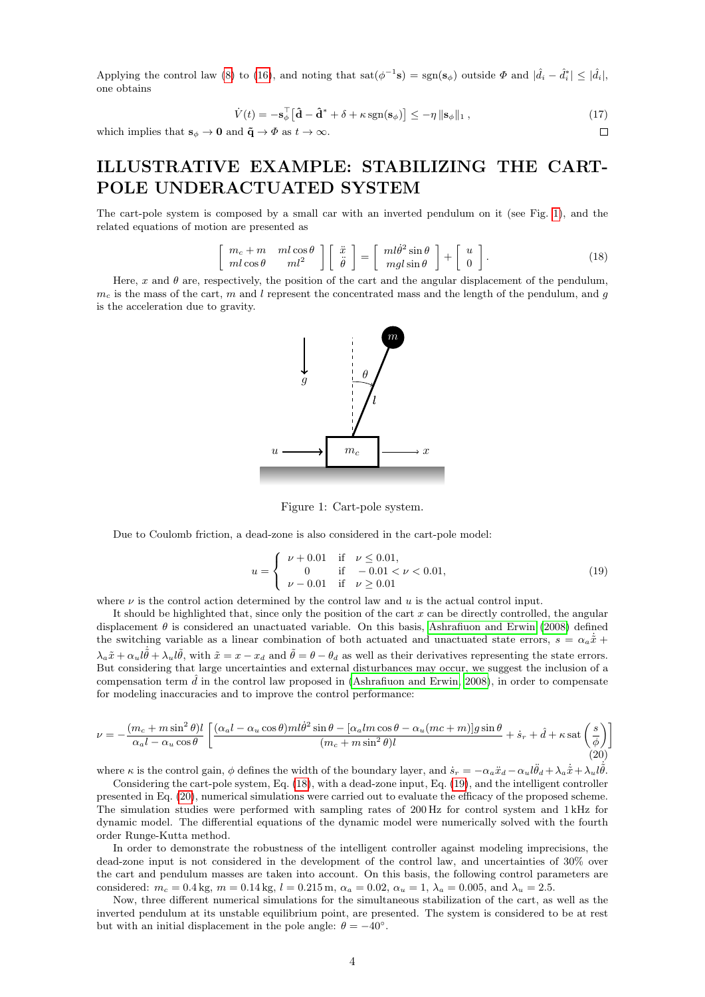Applying the control law [\(8\)](#page-2-1) to [\(16\)](#page-2-4), and noting that  $\text{sat}(\phi^{-1}\mathbf{s}) = \text{sgn}(\mathbf{s}_{\phi})$  outside  $\Phi$  and  $|\hat{d}_i - \hat{d}_i^*| \leq |\hat{d}_i|$ , one obtains

$$
\dot{V}(t) = -\mathbf{s}_{\phi}^{\top} \left[ \mathbf{\hat{d}} - \mathbf{\hat{d}}^* + \delta + \kappa \operatorname{sgn}(\mathbf{s}_{\phi}) \right] \le -\eta \|\mathbf{s}_{\phi}\|_{1},\tag{17}
$$

 $\Box$ 

which implies that  $\mathbf{s}_{\phi} \to \mathbf{0}$  and  $\tilde{\mathbf{q}} \to \Phi$  as  $t \to \infty$ .

## ILLUSTRATIVE EXAMPLE: STABILIZING THE CART-POLE UNDERACTUATED SYSTEM

The cart-pole system is composed by a small car with an inverted pendulum on it (see Fig. [1\)](#page-3-0), and the related equations of motion are presented as

<span id="page-3-1"></span>
$$
\begin{bmatrix} m_c + m & ml \cos \theta \\ ml \cos \theta & ml^2 \end{bmatrix} \begin{bmatrix} \ddot{x} \\ \ddot{\theta} \end{bmatrix} = \begin{bmatrix} ml\dot{\theta}^2 \sin \theta \\ mgl \sin \theta \end{bmatrix} + \begin{bmatrix} u \\ 0 \end{bmatrix}.
$$
 (18)

Here, x and  $\theta$  are, respectively, the position of the cart and the angular displacement of the pendulum,  $m_c$  is the mass of the cart, m and l represent the concentrated mass and the length of the pendulum, and g is the acceleration due to gravity.



<span id="page-3-0"></span>Figure 1: Cart-pole system.

Due to Coulomb friction, a dead-zone is also considered in the cart-pole model:

<span id="page-3-2"></span>
$$
u = \begin{cases} \nu + 0.01 & \text{if } \nu \le 0.01, \\ 0 & \text{if } -0.01 < \nu < 0.01, \\ \nu - 0.01 & \text{if } \nu \ge 0.01 \end{cases}
$$
 (19)

where  $\nu$  is the control action determined by the control law and u is the actual control input.

It should be highlighted that, since only the position of the cart  $x$  can be directly controlled, the angular displacement  $\theta$  is considered an unactuated variable. On this basis, [Ashrafiuon and Erwin](#page-5-0) [\(2008\)](#page-5-0) defined the switching variable as a linear combination of both actuated and unactuated state errors,  $s = \alpha_a \dot{\tilde{x}} +$  $\lambda_a \tilde{x} + \alpha_u l \dot{\tilde{\theta}} + \lambda_u l \tilde{\theta}$ , with  $\tilde{x} = x - x_d$  and  $\tilde{\theta} = \theta - \theta_d$  as well as their derivatives representing the state errors. But considering that large uncertainties and external disturbances may occur, we suggest the inclusion of a compensation term  $\hat{d}$  in the control law proposed in [\(Ashrafiuon and Erwin, 2008\)](#page-5-0), in order to compensate for modeling inaccuracies and to improve the control performance:

<span id="page-3-3"></span>
$$
\nu = -\frac{(m_c + m\sin^2\theta)l}{\alpha_a l - \alpha_u \cos\theta} \left[ \frac{(\alpha_a l - \alpha_u \cos\theta)ml\dot{\theta}^2 \sin\theta - [\alpha_a lm\cos\theta - \alpha_u(mc + m)]g\sin\theta}{(m_c + m\sin^2\theta)l} + \dot{s}_r + \hat{d} + \kappa \operatorname{sat}\left(\frac{s}{\phi}\right) \right]
$$
(20)

where  $\kappa$  is the control gain,  $\phi$  defines the width of the boundary layer, and  $\dot{s}_r = -\alpha_a \ddot{x}_d - \alpha_u l \ddot{\theta}_d + \lambda_a \dot{\tilde{x}} + \lambda_u l \dot{\tilde{\theta}}$ .

Considering the cart-pole system, Eq. [\(18\)](#page-3-1), with a dead-zone input, Eq. [\(19\)](#page-3-2), and the intelligent controller presented in Eq. [\(20\)](#page-3-3), numerical simulations were carried out to evaluate the efficacy of the proposed scheme. The simulation studies were performed with sampling rates of 200 Hz for control system and 1 kHz for dynamic model. The differential equations of the dynamic model were numerically solved with the fourth order Runge-Kutta method.

In order to demonstrate the robustness of the intelligent controller against modeling imprecisions, the dead-zone input is not considered in the development of the control law, and uncertainties of 30% over the cart and pendulum masses are taken into account. On this basis, the following control parameters are considered:  $m_c = 0.4$  kg,  $m = 0.14$  kg,  $l = 0.215$  m,  $\alpha_a = 0.02$ ,  $\alpha_u = 1$ ,  $\lambda_a = 0.005$ , and  $\lambda_u = 2.5$ .

Now, three different numerical simulations for the simultaneous stabilization of the cart, as well as the inverted pendulum at its unstable equilibrium point, are presented. The system is considered to be at rest but with an initial displacement in the pole angle:  $\theta = -40^{\circ}$ .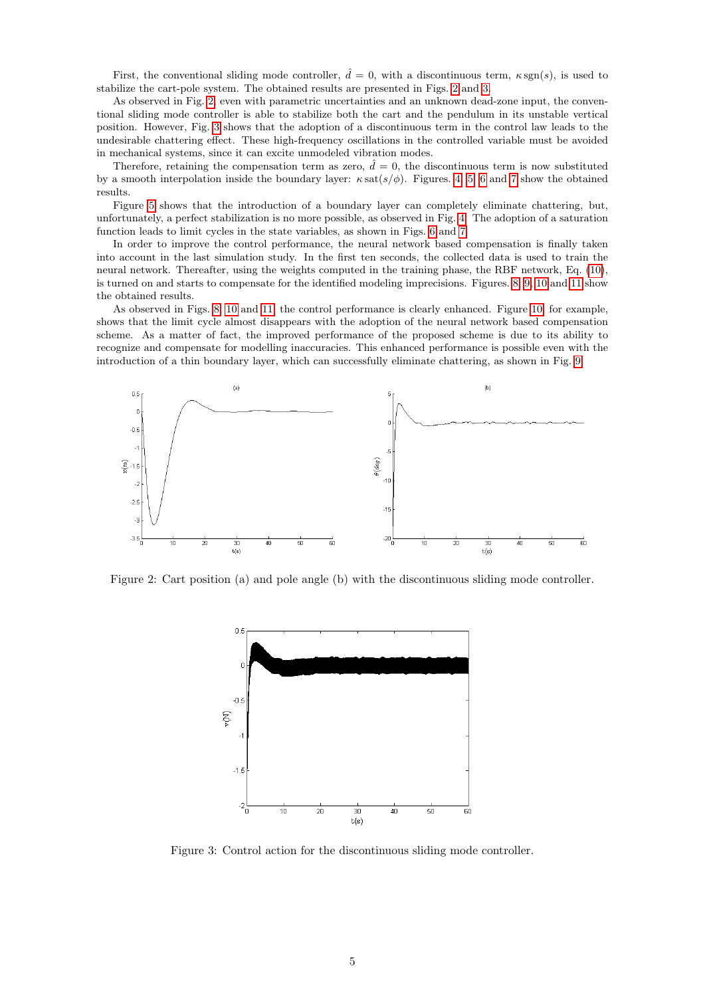First, the conventional sliding mode controller,  $\hat{d} = 0$ , with a discontinuous term,  $\kappa \operatorname{sgn}(s)$ , is used to stabilize the cart-pole system. The obtained results are presented in Figs. [2](#page-4-0) and [3.](#page-4-1)

As observed in Fig. [2,](#page-4-0) even with parametric uncertainties and an unknown dead-zone input, the conventional sliding mode controller is able to stabilize both the cart and the pendulum in its unstable vertical position. However, Fig. [3](#page-4-1) shows that the adoption of a discontinuous term in the control law leads to the undesirable chattering effect. These high-frequency oscillations in the controlled variable must be avoided in mechanical systems, since it can excite unmodeled vibration modes.

Therefore, retaining the compensation term as zero,  $\hat{d} = 0$ , the discontinuous term is now substituted by a smooth interpolation inside the boundary layer:  $\kappa \, \text{sat}(s/\phi)$ . Figures. [4,](#page-5-3) [5,](#page-5-4) [6](#page-6-9) and [7](#page-6-10) show the obtained results.

Figure [5](#page-5-4) shows that the introduction of a boundary layer can completely eliminate chattering, but, unfortunately, a perfect stabilization is no more possible, as observed in Fig. [4.](#page-5-3) The adoption of a saturation function leads to limit cycles in the state variables, as shown in Figs. [6](#page-6-9) and [7.](#page-6-10)

In order to improve the control performance, the neural network based compensation is finally taken into account in the last simulation study. In the first ten seconds, the collected data is used to train the neural network. Thereafter, using the weights computed in the training phase, the RBF network, Eq. [\(10\)](#page-2-3), is turned on and starts to compensate for the identified modeling imprecisions. Figures. [8,](#page-6-11) [9,](#page-7-9) [10](#page-7-10) and [11](#page-7-11) show the obtained results.

As observed in Figs. [8,](#page-6-11) [10](#page-7-10) and [11,](#page-7-11) the control performance is clearly enhanced. Figure [10,](#page-7-10) for example, shows that the limit cycle almost disappears with the adoption of the neural network based compensation scheme. As a matter of fact, the improved performance of the proposed scheme is due to its ability to recognize and compensate for modelling inaccuracies. This enhanced performance is possible even with the introduction of a thin boundary layer, which can successfully eliminate chattering, as shown in Fig. [9.](#page-7-9)



<span id="page-4-0"></span>Figure 2: Cart position (a) and pole angle (b) with the discontinuous sliding mode controller.



<span id="page-4-1"></span>Figure 3: Control action for the discontinuous sliding mode controller.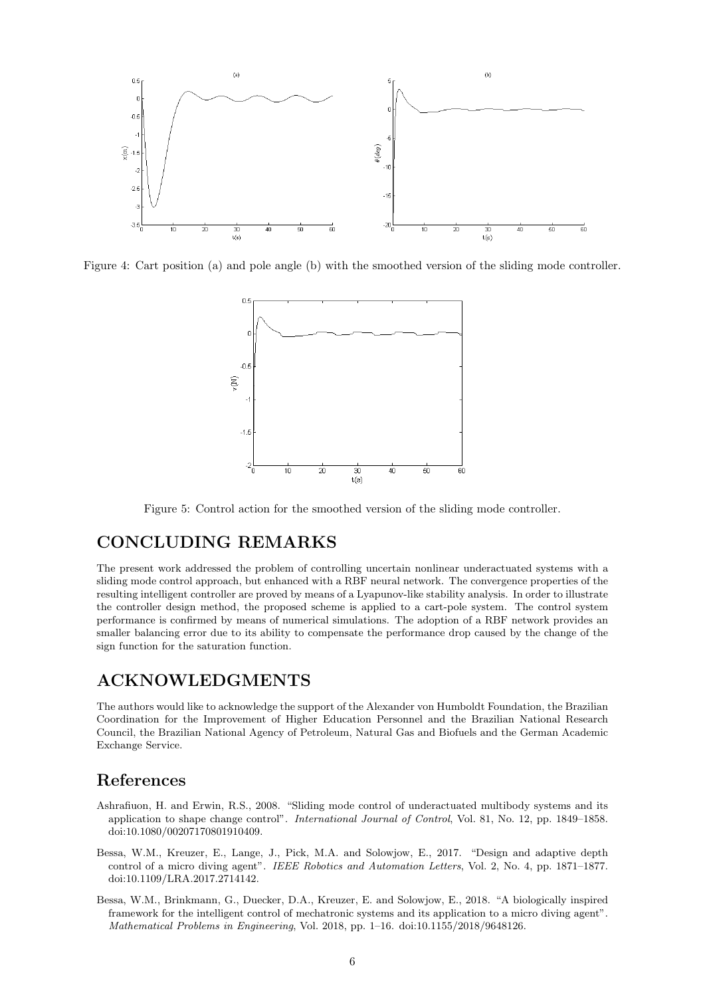

<span id="page-5-3"></span>Figure 4: Cart position (a) and pole angle (b) with the smoothed version of the sliding mode controller.



<span id="page-5-4"></span>Figure 5: Control action for the smoothed version of the sliding mode controller.

### CONCLUDING REMARKS

The present work addressed the problem of controlling uncertain nonlinear underactuated systems with a sliding mode control approach, but enhanced with a RBF neural network. The convergence properties of the resulting intelligent controller are proved by means of a Lyapunov-like stability analysis. In order to illustrate the controller design method, the proposed scheme is applied to a cart-pole system. The control system performance is confirmed by means of numerical simulations. The adoption of a RBF network provides an smaller balancing error due to its ability to compensate the performance drop caused by the change of the sign function for the saturation function.

### ACKNOWLEDGMENTS

The authors would like to acknowledge the support of the Alexander von Humboldt Foundation, the Brazilian Coordination for the Improvement of Higher Education Personnel and the Brazilian National Research Council, the Brazilian National Agency of Petroleum, Natural Gas and Biofuels and the German Academic Exchange Service.

#### References

- <span id="page-5-0"></span>Ashrafiuon, H. and Erwin, R.S., 2008. "Sliding mode control of underactuated multibody systems and its application to shape change control". International Journal of Control, Vol. 81, No. 12, pp. 1849–1858. doi:10.1080/00207170801910409.
- <span id="page-5-1"></span>Bessa, W.M., Kreuzer, E., Lange, J., Pick, M.A. and Solowjow, E., 2017. "Design and adaptive depth control of a micro diving agent". IEEE Robotics and Automation Letters, Vol. 2, No. 4, pp. 1871–1877. doi:10.1109/LRA.2017.2714142.
- <span id="page-5-2"></span>Bessa, W.M., Brinkmann, G., Duecker, D.A., Kreuzer, E. and Solowjow, E., 2018. "A biologically inspired framework for the intelligent control of mechatronic systems and its application to a micro diving agent". Mathematical Problems in Engineering, Vol. 2018, pp. 1–16. doi:10.1155/2018/9648126.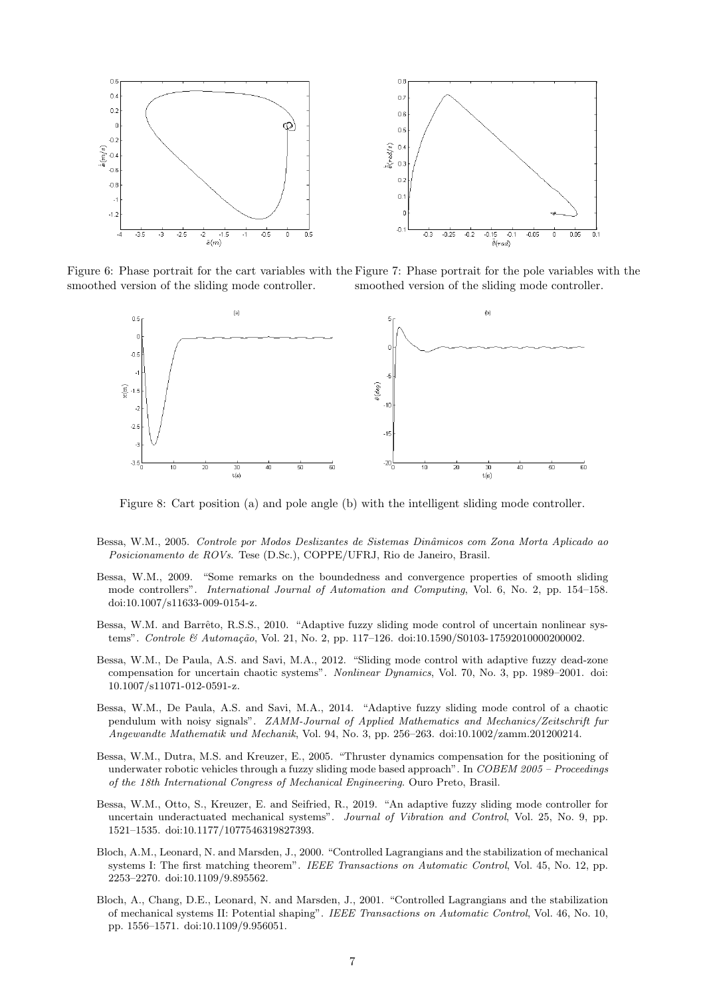

Figure 6: Phase portrait for the cart variables with the Figure 7: Phase portrait for the pole variables with the smoothed version of the sliding mode controller. smoothed version of the sliding mode controller.

<span id="page-6-10"></span><span id="page-6-9"></span>

<span id="page-6-11"></span>Figure 8: Cart position (a) and pole angle (b) with the intelligent sliding mode controller.

- <span id="page-6-2"></span>Bessa, W.M., 2005. Controle por Modos Deslizantes de Sistemas Dinâmicos com Zona Morta Aplicado ao Posicionamento de ROVs. Tese (D.Sc.), COPPE/UFRJ, Rio de Janeiro, Brasil.
- <span id="page-6-8"></span>Bessa, W.M., 2009. "Some remarks on the boundedness and convergence properties of smooth sliding mode controllers". International Journal of Automation and Computing, Vol. 6, No. 2, pp. 154–158. doi:10.1007/s11633-009-0154-z.
- <span id="page-6-3"></span>Bessa, W.M. and Barrêto, R.S.S., 2010. "Adaptive fuzzy sliding mode control of uncertain nonlinear systems". Controle & Automação, Vol. 21, No. 2, pp. 117–126. doi:10.1590/S0103-17592010000200002.
- <span id="page-6-5"></span>Bessa, W.M., De Paula, A.S. and Savi, M.A., 2012. "Sliding mode control with adaptive fuzzy dead-zone compensation for uncertain chaotic systems". Nonlinear Dynamics, Vol. 70, No. 3, pp. 1989–2001. doi: 10.1007/s11071-012-0591-z.
- <span id="page-6-6"></span>Bessa, W.M., De Paula, A.S. and Savi, M.A., 2014. "Adaptive fuzzy sliding mode control of a chaotic pendulum with noisy signals". ZAMM-Journal of Applied Mathematics and Mechanics/Zeitschrift fur Angewandte Mathematik und Mechanik, Vol. 94, No. 3, pp. 256–263. doi:10.1002/zamm.201200214.
- <span id="page-6-4"></span>Bessa, W.M., Dutra, M.S. and Kreuzer, E., 2005. "Thruster dynamics compensation for the positioning of underwater robotic vehicles through a fuzzy sliding mode based approach". In COBEM 2005 – Proceedings of the 18th International Congress of Mechanical Engineering. Ouro Preto, Brasil.
- <span id="page-6-7"></span>Bessa, W.M., Otto, S., Kreuzer, E. and Seifried, R., 2019. "An adaptive fuzzy sliding mode controller for uncertain underactuated mechanical systems". Journal of Vibration and Control, Vol. 25, No. 9, pp. 1521–1535. doi:10.1177/1077546319827393.
- <span id="page-6-0"></span>Bloch, A.M., Leonard, N. and Marsden, J., 2000. "Controlled Lagrangians and the stabilization of mechanical systems I: The first matching theorem". IEEE Transactions on Automatic Control, Vol. 45, No. 12, pp. 2253–2270. doi:10.1109/9.895562.
- <span id="page-6-1"></span>Bloch, A., Chang, D.E., Leonard, N. and Marsden, J., 2001. "Controlled Lagrangians and the stabilization of mechanical systems II: Potential shaping". IEEE Transactions on Automatic Control, Vol. 46, No. 10, pp. 1556–1571. doi:10.1109/9.956051.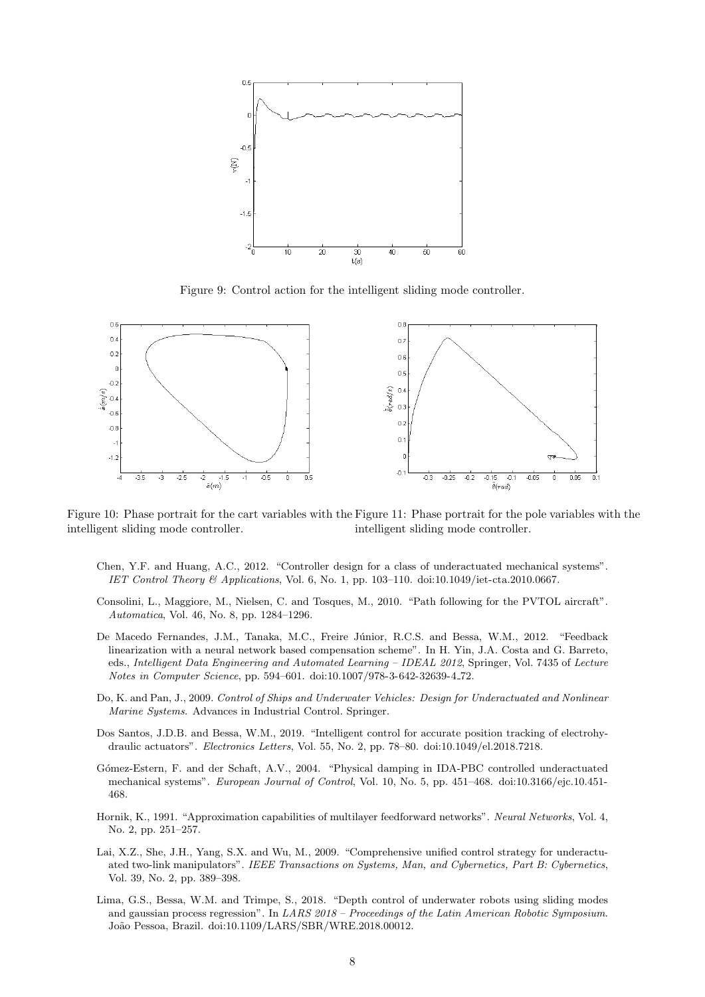

<span id="page-7-11"></span><span id="page-7-9"></span>Figure 9: Control action for the intelligent sliding mode controller.



<span id="page-7-10"></span>Figure 10: Phase portrait for the cart variables with the Figure 11: Phase portrait for the pole variables with the intelligent sliding mode controller. intelligent sliding mode controller.

- <span id="page-7-3"></span>Chen, Y.F. and Huang, A.C., 2012. "Controller design for a class of underactuated mechanical systems". IET Control Theory & Applications, Vol. 6, No. 1, pp. 103–110. doi:10.1049/iet-cta.2010.0667.
- <span id="page-7-1"></span>Consolini, L., Maggiore, M., Nielsen, C. and Tosques, M., 2010. "Path following for the PVTOL aircraft". Automatica, Vol. 46, No. 8, pp. 1284–1296.
- <span id="page-7-8"></span>De Macedo Fernandes, J.M., Tanaka, M.C., Freire J´unior, R.C.S. and Bessa, W.M., 2012. "Feedback linearization with a neural network based compensation scheme". In H. Yin, J.A. Costa and G. Barreto, eds., Intelligent Data Engineering and Automated Learning – IDEAL 2012, Springer, Vol. 7435 of Lecture Notes in Computer Science, pp. 594–601. doi:10.1007/978-3-642-32639-4 72.
- <span id="page-7-2"></span>Do, K. and Pan, J., 2009. Control of Ships and Underwater Vehicles: Design for Underactuated and Nonlinear Marine Systems. Advances in Industrial Control. Springer.
- <span id="page-7-5"></span>Dos Santos, J.D.B. and Bessa, W.M., 2019. "Intelligent control for accurate position tracking of electrohydraulic actuators". Electronics Letters, Vol. 55, No. 2, pp. 78–80. doi:10.1049/el.2018.7218.
- <span id="page-7-4"></span>G´omez-Estern, F. and der Schaft, A.V., 2004. "Physical damping in IDA-PBC controlled underactuated mechanical systems". European Journal of Control, Vol. 10, No. 5, pp. 451–468. doi:10.3166/ejc.10.451- 468.
- <span id="page-7-7"></span>Hornik, K., 1991. "Approximation capabilities of multilayer feedforward networks". Neural Networks, Vol. 4, No. 2, pp. 251–257.
- <span id="page-7-0"></span>Lai, X.Z., She, J.H., Yang, S.X. and Wu, M., 2009. "Comprehensive unified control strategy for underactuated two-link manipulators". IEEE Transactions on Systems, Man, and Cybernetics, Part B: Cybernetics, Vol. 39, No. 2, pp. 389–398.
- <span id="page-7-6"></span>Lima, G.S., Bessa, W.M. and Trimpe, S., 2018. "Depth control of underwater robots using sliding modes and gaussian process regression". In LARS 2018 – Proceedings of the Latin American Robotic Symposium. Jo˜ao Pessoa, Brazil. doi:10.1109/LARS/SBR/WRE.2018.00012.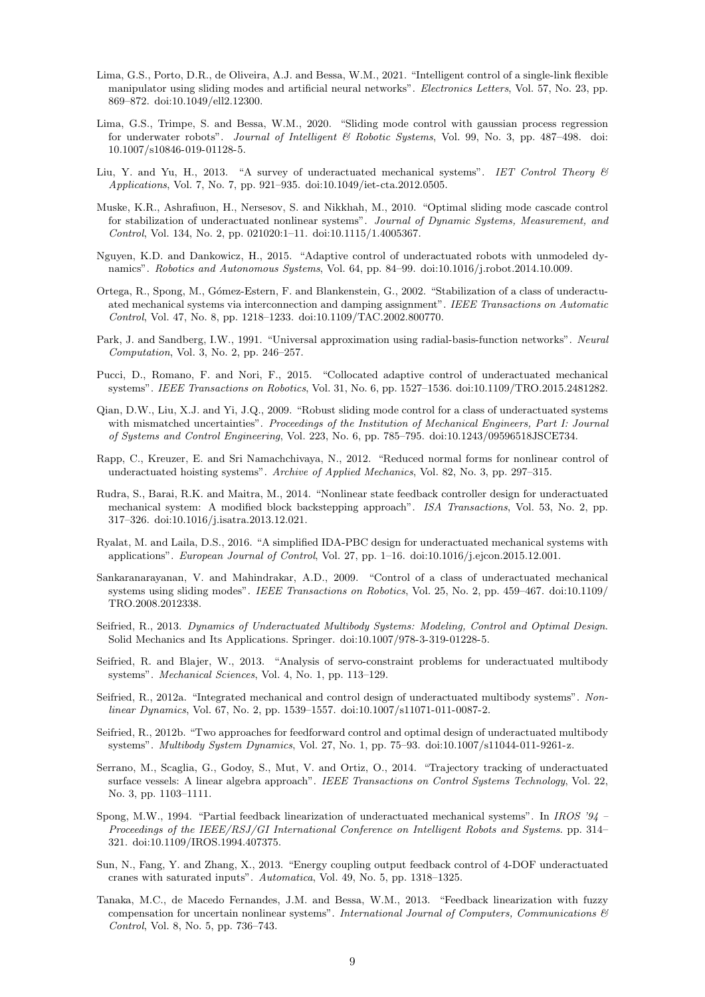- <span id="page-8-17"></span>Lima, G.S., Porto, D.R., de Oliveira, A.J. and Bessa, W.M., 2021. "Intelligent control of a single-link flexible manipulator using sliding modes and artificial neural networks". Electronics Letters, Vol. 57, No. 23, pp. 869–872. doi:10.1049/ell2.12300.
- <span id="page-8-16"></span>Lima, G.S., Trimpe, S. and Bessa, W.M., 2020. "Sliding mode control with gaussian process regression for underwater robots". Journal of Intelligent & Robotic Systems, Vol. 99, No. 3, pp. 487-498. doi: 10.1007/s10846-019-01128-5.
- <span id="page-8-15"></span>Liu, Y. and Yu, H., 2013. "A survey of underactuated mechanical systems". IET Control Theory & Applications, Vol. 7, No. 7, pp. 921–935. doi:10.1049/iet-cta.2012.0505.
- <span id="page-8-11"></span>Muske, K.R., Ashrafiuon, H., Nersesov, S. and Nikkhah, M., 2010. "Optimal sliding mode cascade control for stabilization of underactuated nonlinear systems". Journal of Dynamic Systems, Measurement, and Control, Vol. 134, No. 2, pp. 021020:1–11. doi:10.1115/1.4005367.
- <span id="page-8-8"></span>Nguyen, K.D. and Dankowicz, H., 2015. "Adaptive control of underactuated robots with unmodeled dynamics". Robotics and Autonomous Systems, Vol. 64, pp. 84–99. doi:10.1016/j.robot.2014.10.009.
- <span id="page-8-13"></span>Ortega, R., Spong, M., Gómez-Estern, F. and Blankenstein, G., 2002. "Stabilization of a class of underactuated mechanical systems via interconnection and damping assignment". IEEE Transactions on Automatic Control, Vol. 47, No. 8, pp. 1218–1233. doi:10.1109/TAC.2002.800770.
- <span id="page-8-19"></span>Park, J. and Sandberg, I.W., 1991. "Universal approximation using radial-basis-function networks". Neural Computation, Vol. 3, No. 2, pp. 246–257.
- <span id="page-8-7"></span>Pucci, D., Romano, F. and Nori, F., 2015. "Collocated adaptive control of underactuated mechanical systems". IEEE Transactions on Robotics, Vol. 31, No. 6, pp. 1527–1536. doi:10.1109/TRO.2015.2481282.
- <span id="page-8-10"></span>Qian, D.W., Liu, X.J. and Yi, J.Q., 2009. "Robust sliding mode control for a class of underactuated systems with mismatched uncertainties". Proceedings of the Institution of Mechanical Engineers, Part I: Journal of Systems and Control Engineering, Vol. 223, No. 6, pp. 785–795. doi:10.1243/09596518JSCE734.
- <span id="page-8-0"></span>Rapp, C., Kreuzer, E. and Sri Namachchivaya, N., 2012. "Reduced normal forms for nonlinear control of underactuated hoisting systems". Archive of Applied Mechanics, Vol. 82, No. 3, pp. 297–315.
- <span id="page-8-12"></span>Rudra, S., Barai, R.K. and Maitra, M., 2014. "Nonlinear state feedback controller design for underactuated mechanical system: A modified block backstepping approach". ISA Transactions, Vol. 53, No. 2, pp. 317–326. doi:10.1016/j.isatra.2013.12.021.
- <span id="page-8-14"></span>Ryalat, M. and Laila, D.S., 2016. "A simplified IDA-PBC design for underactuated mechanical systems with applications". European Journal of Control, Vol. 27, pp. 1–16. doi:10.1016/j.ejcon.2015.12.001.
- <span id="page-8-9"></span>Sankaranarayanan, V. and Mahindrakar, A.D., 2009. "Control of a class of underactuated mechanical systems using sliding modes". IEEE Transactions on Robotics, Vol. 25, No. 2, pp. 459–467. doi:10.1109/ TRO.2008.2012338.
- <span id="page-8-3"></span>Seifried, R., 2013. Dynamics of Underactuated Multibody Systems: Modeling, Control and Optimal Design. Solid Mechanics and Its Applications. Springer. doi:10.1007/978-3-319-01228-5.
- <span id="page-8-20"></span>Seifried, R. and Blajer, W., 2013. "Analysis of servo-constraint problems for underactuated multibody systems". Mechanical Sciences, Vol. 4, No. 1, pp. 113–129.
- <span id="page-8-6"></span>Seifried, R., 2012a. "Integrated mechanical and control design of underactuated multibody systems". Nonlinear Dynamics, Vol. 67, No. 2, pp. 1539–1557. doi:10.1007/s11071-011-0087-2.
- <span id="page-8-5"></span>Seifried, R., 2012b. "Two approaches for feedforward control and optimal design of underactuated multibody systems". Multibody System Dynamics, Vol. 27, No. 1, pp. 75–93. doi:10.1007/s11044-011-9261-z.
- <span id="page-8-2"></span>Serrano, M., Scaglia, G., Godoy, S., Mut, V. and Ortiz, O., 2014. "Trajectory tracking of underactuated surface vessels: A linear algebra approach". IEEE Transactions on Control Systems Technology, Vol. 22, No. 3, pp. 1103–1111.
- <span id="page-8-4"></span>Spong, M.W., 1994. "Partial feedback linearization of underactuated mechanical systems". In IROS '94 – Proceedings of the IEEE/RSJ/GI International Conference on Intelligent Robots and Systems. pp. 314– 321. doi:10.1109/IROS.1994.407375.
- <span id="page-8-1"></span>Sun, N., Fang, Y. and Zhang, X., 2013. "Energy coupling output feedback control of 4-DOF underactuated cranes with saturated inputs". Automatica, Vol. 49, No. 5, pp. 1318–1325.
- <span id="page-8-18"></span>Tanaka, M.C., de Macedo Fernandes, J.M. and Bessa, W.M., 2013. "Feedback linearization with fuzzy compensation for uncertain nonlinear systems". International Journal of Computers, Communications & Control, Vol. 8, No. 5, pp. 736–743.